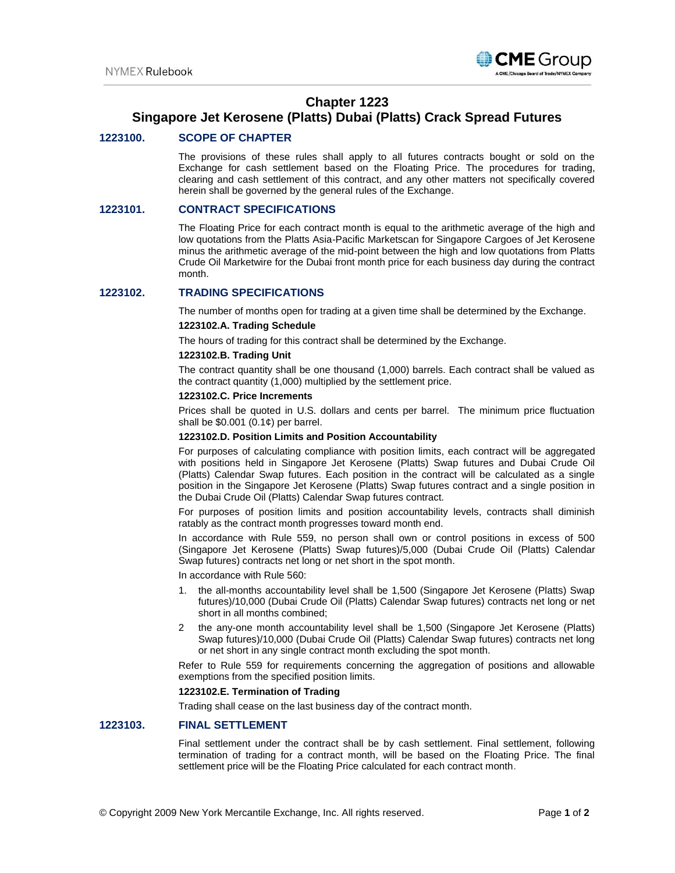

# **Chapter 1223**

# **Singapore Jet Kerosene (Platts) Dubai (Platts) Crack Spread Futures**

# **1223100. SCOPE OF CHAPTER**

The provisions of these rules shall apply to all futures contracts bought or sold on the Exchange for cash settlement based on the Floating Price. The procedures for trading, clearing and cash settlement of this contract, and any other matters not specifically covered herein shall be governed by the general rules of the Exchange.

## **1223101. CONTRACT SPECIFICATIONS**

The Floating Price for each contract month is equal to the arithmetic average of the high and low quotations from the Platts Asia-Pacific Marketscan for Singapore Cargoes of Jet Kerosene minus the arithmetic average of the mid-point between the high and low quotations from Platts Crude Oil Marketwire for the Dubai front month price for each business day during the contract month.

# **1223102. TRADING SPECIFICATIONS**

The number of months open for trading at a given time shall be determined by the Exchange.

# **1223102.A. Trading Schedule**

The hours of trading for this contract shall be determined by the Exchange.

#### **1223102.B. Trading Unit**

The contract quantity shall be one thousand (1,000) barrels. Each contract shall be valued as the contract quantity (1,000) multiplied by the settlement price.

#### **1223102.C. Price Increments**

Prices shall be quoted in U.S. dollars and cents per barrel. The minimum price fluctuation shall be  $$0.001$   $(0.1¢)$  per barrel.

## **1223102.D. Position Limits and Position Accountability**

For purposes of calculating compliance with position limits, each contract will be aggregated with positions held in Singapore Jet Kerosene (Platts) Swap futures and Dubai Crude Oil (Platts) Calendar Swap futures. Each position in the contract will be calculated as a single position in the Singapore Jet Kerosene (Platts) Swap futures contract and a single position in the Dubai Crude Oil (Platts) Calendar Swap futures contract.

For purposes of position limits and position accountability levels, contracts shall diminish ratably as the contract month progresses toward month end.

In accordance with Rule 559, no person shall own or control positions in excess of 500 (Singapore Jet Kerosene (Platts) Swap futures)/5,000 (Dubai Crude Oil (Platts) Calendar Swap futures) contracts net long or net short in the spot month.

In accordance with Rule 560:

- 1. the all-months accountability level shall be 1,500 (Singapore Jet Kerosene (Platts) Swap futures)/10,000 (Dubai Crude Oil (Platts) Calendar Swap futures) contracts net long or net short in all months combined;
- 2 the any-one month accountability level shall be 1,500 (Singapore Jet Kerosene (Platts) Swap futures)/10,000 (Dubai Crude Oil (Platts) Calendar Swap futures) contracts net long or net short in any single contract month excluding the spot month.

Refer to Rule 559 for requirements concerning the aggregation of positions and allowable exemptions from the specified position limits.

## **1223102.E. Termination of Trading**

Trading shall cease on the last business day of the contract month.

# **1223103. FINAL SETTLEMENT**

Final settlement under the contract shall be by cash settlement. Final settlement, following termination of trading for a contract month, will be based on the Floating Price. The final settlement price will be the Floating Price calculated for each contract month.